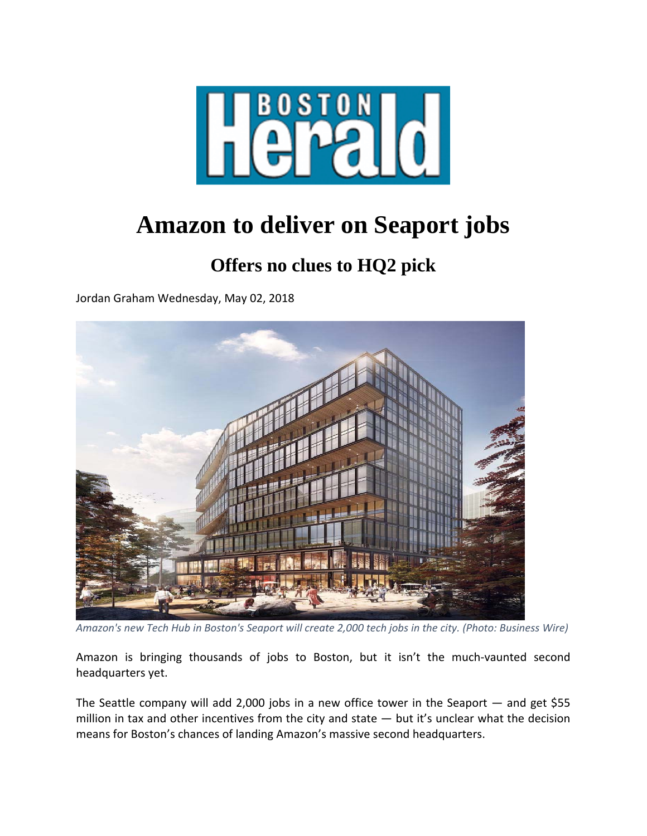

## **Amazon to deliver on Seaport jobs**

## **Offers no clues to HQ2 pick**

Jordan Graham Wednesday, May 02, 2018



Amazon's new Tech Hub in Boston's Seaport will create 2,000 tech jobs in the city. (Photo: Business Wire)

Amazon is bringing thousands of jobs to Boston, but it isn't the much‐vaunted second headquarters yet.

The Seattle company will add 2,000 jobs in a new office tower in the Seaport — and get \$55 million in tax and other incentives from the city and state — but it's unclear what the decision means for Boston's chances of landing Amazon's massive second headquarters.